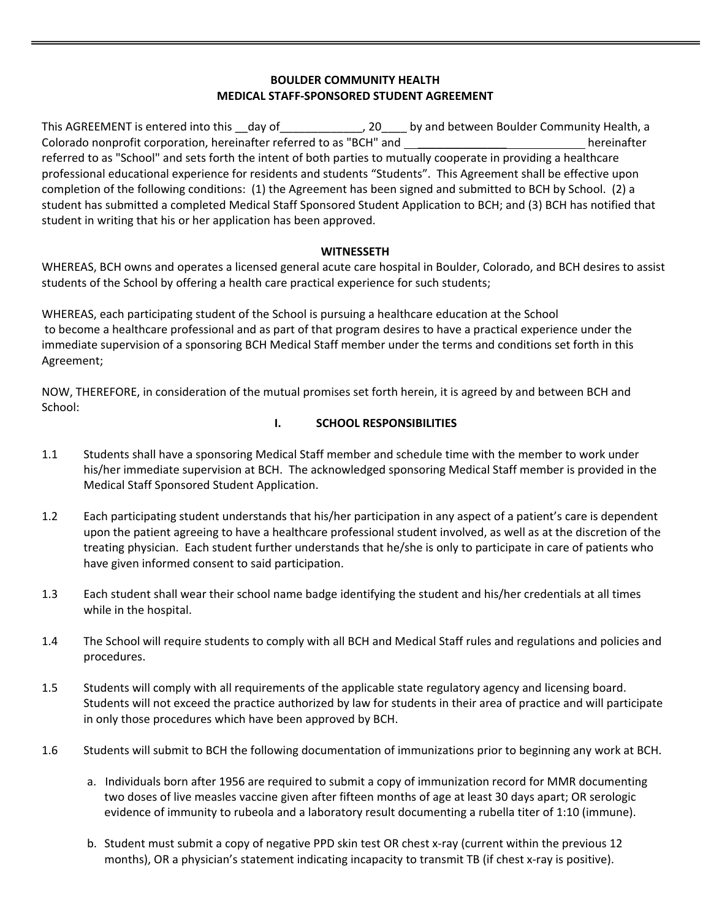## **BOULDER COMMUNITY HEALTH MEDICAL STAFF‐SPONSORED STUDENT AGREEMENT**

This AGREEMENT is entered into this \_\_day of \_\_\_\_\_\_\_\_\_\_\_\_, 20\_\_\_\_ by and between Boulder Community Health, a Colorado nonprofit corporation, hereinafter referred to as "BCH" and \_\_\_\_\_\_\_\_\_\_\_\_\_\_ hereinafter referred to as "School" and sets forth the intent of both parties to mutually cooperate in providing a healthcare professional educational experience for residents and students "Students". This Agreement shall be effective upon completion of the following conditions: (1) the Agreement has been signed and submitted to BCH by School. (2) a student has submitted a completed Medical Staff Sponsored Student Application to BCH; and (3) BCH has notified that student in writing that his or her application has been approved.

## **WITNESSETH**

WHEREAS, BCH owns and operates a licensed general acute care hospital in Boulder, Colorado, and BCH desires to assist students of the School by offering a health care practical experience for such students;

WHEREAS, each participating student of the School is pursuing a healthcare education at the School to become a healthcare professional and as part of that program desires to have a practical experience under the immediate supervision of a sponsoring BCH Medical Staff member under the terms and conditions set forth in this Agreement;

NOW, THEREFORE, in consideration of the mutual promises set forth herein, it is agreed by and between BCH and School:

# **I. SCHOOL RESPONSIBILITIES**

- 1.1 Students shall have a sponsoring Medical Staff member and schedule time with the member to work under his/her immediate supervision at BCH. The acknowledged sponsoring Medical Staff member is provided in the Medical Staff Sponsored Student Application.
- 1.2 Each participating student understands that his/her participation in any aspect of a patient's care is dependent upon the patient agreeing to have a healthcare professional student involved, as well as at the discretion of the treating physician. Each student further understands that he/she is only to participate in care of patients who have given informed consent to said participation.
- 1.3 Each student shall wear their school name badge identifying the student and his/her credentials at all times while in the hospital.
- 1.4 The School will require students to comply with all BCH and Medical Staff rules and regulations and policies and procedures.
- 1.5 Students will comply with all requirements of the applicable state regulatory agency and licensing board. Students will not exceed the practice authorized by law for students in their area of practice and will participate in only those procedures which have been approved by BCH.
- 1.6 Students will submit to BCH the following documentation of immunizations prior to beginning any work at BCH.
	- a. Individuals born after 1956 are required to submit a copy of immunization record for MMR documenting two doses of live measles vaccine given after fifteen months of age at least 30 days apart; OR serologic evidence of immunity to rubeola and a laboratory result documenting a rubella titer of 1:10 (immune).
	- b. Student must submit a copy of negative PPD skin test OR chest x‐ray (current within the previous 12 months), OR a physician's statement indicating incapacity to transmit TB (if chest x-ray is positive).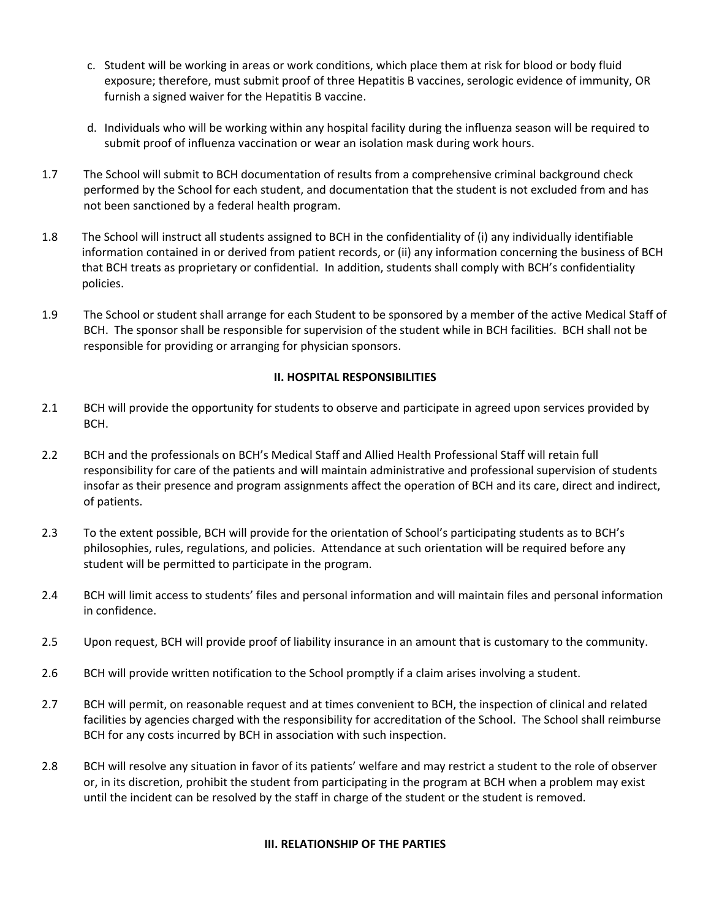- c. Student will be working in areas or work conditions, which place them at risk for blood or body fluid exposure; therefore, must submit proof of three Hepatitis B vaccines, serologic evidence of immunity, OR furnish a signed waiver for the Hepatitis B vaccine.
- d. Individuals who will be working within any hospital facility during the influenza season will be required to submit proof of influenza vaccination or wear an isolation mask during work hours.
- 1.7 The School will submit to BCH documentation of results from a comprehensive criminal background check performed by the School for each student, and documentation that the student is not excluded from and has not been sanctioned by a federal health program.
- 1.8 The School will instruct all students assigned to BCH in the confidentiality of (i) any individually identifiable information contained in or derived from patient records, or (ii) any information concerning the business of BCH that BCH treats as proprietary or confidential. In addition, students shall comply with BCH's confidentiality policies.
- 1.9 The School or student shall arrange for each Student to be sponsored by a member of the active Medical Staff of BCH. The sponsor shall be responsible for supervision of the student while in BCH facilities. BCH shall not be responsible for providing or arranging for physician sponsors.

## **II. HOSPITAL RESPONSIBILITIES**

- 2.1 BCH will provide the opportunity for students to observe and participate in agreed upon services provided by BCH.
- 2.2 BCH and the professionals on BCH's Medical Staff and Allied Health Professional Staff will retain full responsibility for care of the patients and will maintain administrative and professional supervision of students insofar as their presence and program assignments affect the operation of BCH and its care, direct and indirect, of patients.
- 2.3 To the extent possible, BCH will provide for the orientation of School's participating students as to BCH's philosophies, rules, regulations, and policies. Attendance at such orientation will be required before any student will be permitted to participate in the program.
- 2.4 BCH will limit access to students' files and personal information and will maintain files and personal information in confidence.
- 2.5 Upon request, BCH will provide proof of liability insurance in an amount that is customary to the community.
- 2.6 BCH will provide written notification to the School promptly if a claim arises involving a student.
- 2.7 BCH will permit, on reasonable request and at times convenient to BCH, the inspection of clinical and related facilities by agencies charged with the responsibility for accreditation of the School. The School shall reimburse BCH for any costs incurred by BCH in association with such inspection.
- 2.8 BCH will resolve any situation in favor of its patients' welfare and may restrict a student to the role of observer or, in its discretion, prohibit the student from participating in the program at BCH when a problem may exist until the incident can be resolved by the staff in charge of the student or the student is removed.

### **III. RELATIONSHIP OF THE PARTIES**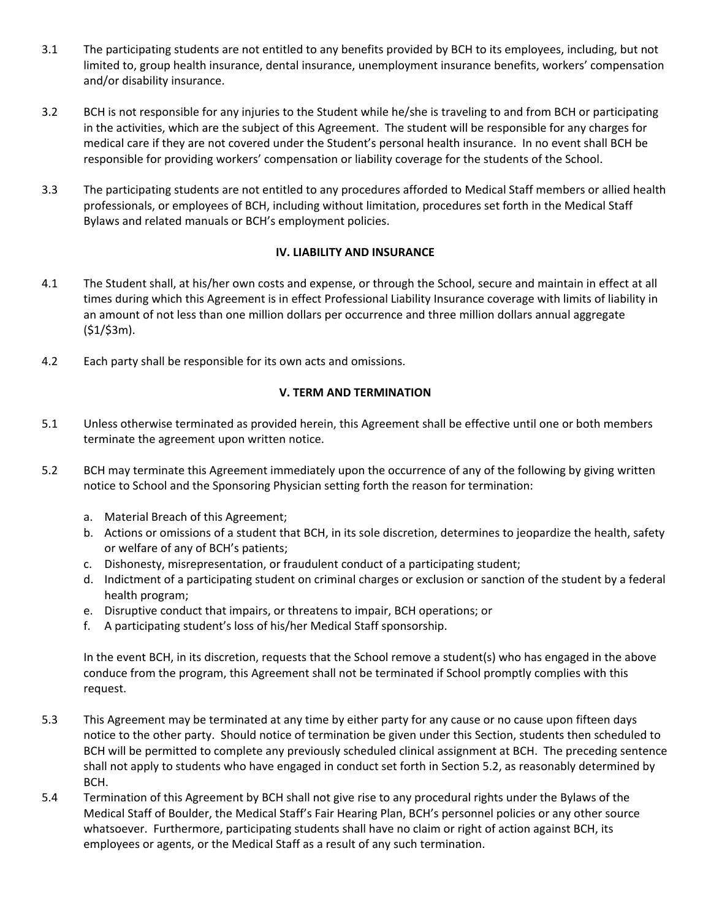- 3.1 The participating students are not entitled to any benefits provided by BCH to its employees, including, but not limited to, group health insurance, dental insurance, unemployment insurance benefits, workers' compensation and/or disability insurance.
- 3.2 BCH is not responsible for any injuries to the Student while he/she is traveling to and from BCH or participating in the activities, which are the subject of this Agreement. The student will be responsible for any charges for medical care if they are not covered under the Student's personal health insurance. In no event shall BCH be responsible for providing workers' compensation or liability coverage for the students of the School.
- 3.3 The participating students are not entitled to any procedures afforded to Medical Staff members or allied health professionals, or employees of BCH, including without limitation, procedures set forth in the Medical Staff Bylaws and related manuals or BCH's employment policies.

### **IV. LIABILITY AND INSURANCE**

- 4.1 The Student shall, at his/her own costs and expense, or through the School, secure and maintain in effect at all times during which this Agreement is in effect Professional Liability Insurance coverage with limits of liability in an amount of not less than one million dollars per occurrence and three million dollars annual aggregate  $(51/53m)$ .
- 4.2 Each party shall be responsible for its own acts and omissions.

## **V. TERM AND TERMINATION**

- 5.1 Unless otherwise terminated as provided herein, this Agreement shall be effective until one or both members terminate the agreement upon written notice.
- 5.2 BCH may terminate this Agreement immediately upon the occurrence of any of the following by giving written notice to School and the Sponsoring Physician setting forth the reason for termination:
	- a. Material Breach of this Agreement;
	- b. Actions or omissions of a student that BCH, in its sole discretion, determines to jeopardize the health, safety or welfare of any of BCH's patients;
	- c. Dishonesty, misrepresentation, or fraudulent conduct of a participating student;
	- d. Indictment of a participating student on criminal charges or exclusion or sanction of the student by a federal health program;
	- e. Disruptive conduct that impairs, or threatens to impair, BCH operations; or
	- f. A participating student's loss of his/her Medical Staff sponsorship.

In the event BCH, in its discretion, requests that the School remove a student(s) who has engaged in the above conduce from the program, this Agreement shall not be terminated if School promptly complies with this request.

- 5.3 This Agreement may be terminated at any time by either party for any cause or no cause upon fifteen days notice to the other party. Should notice of termination be given under this Section, students then scheduled to BCH will be permitted to complete any previously scheduled clinical assignment at BCH. The preceding sentence shall not apply to students who have engaged in conduct set forth in Section 5.2, as reasonably determined by BCH.
- 5.4 Termination of this Agreement by BCH shall not give rise to any procedural rights under the Bylaws of the Medical Staff of Boulder, the Medical Staff's Fair Hearing Plan, BCH's personnel policies or any other source whatsoever. Furthermore, participating students shall have no claim or right of action against BCH, its employees or agents, or the Medical Staff as a result of any such termination.